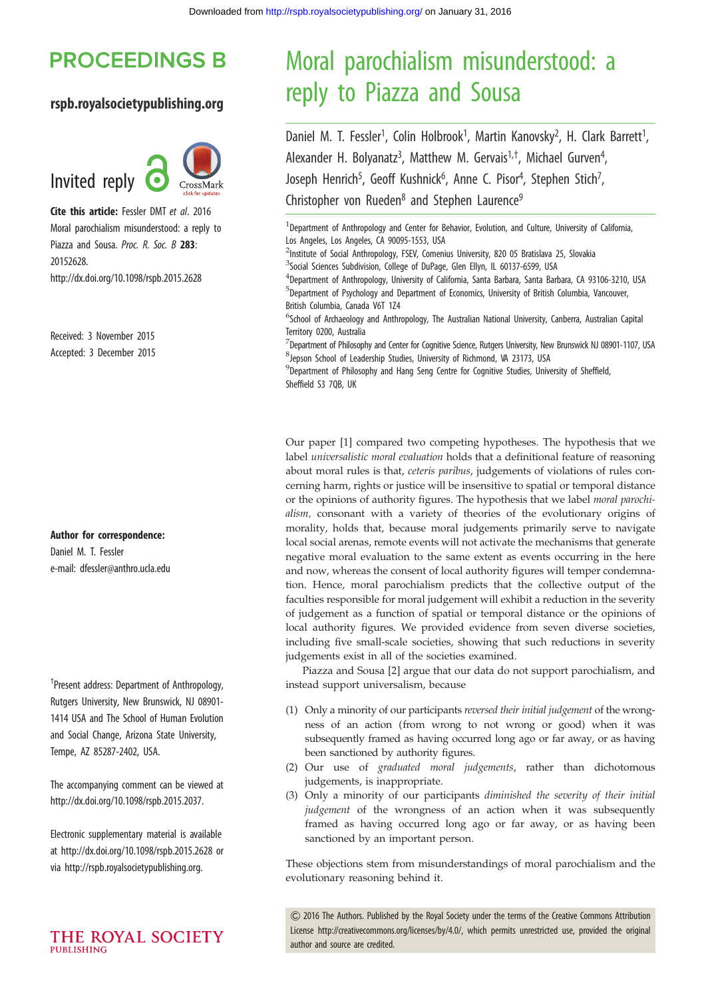# **PROCEEDINGS B**

## rspb.royalsocietypublishing.org



Cite this article: Fessler DMT et al. 2016 Moral parochialism misunderstood: a reply to Piazza and Sousa. Proc. R. Soc. B 283: 20152628. http://dx.doi.org/10.1098/rspb.2015.2628

Received: 3 November 2015 Accepted: 3 December 2015

Author for correspondence:

Daniel M. T. Fessler e-mail: [dfessler@anthro.ucla.edu](mailto:dfessler@anthro.ucla.edu)

† Present address: Department of Anthropology, Rutgers University, New Brunswick, NJ 08901- 1414 USA and The School of Human Evolution and Social Change, Arizona State University, Tempe, AZ 85287-2402, USA.

The accompanying comment can be viewed at [http://dx.doi.org/10.1098/rspb.2015.2037.](http://dx.doi.org/http://dx.doi.org/10.1098/rspb.2015.2037)

[Electronic supplementary material is available](http://dx.doi.org/http://dx.doi.org/10.1098/rspb.2015.2037) [at http://dx.doi.org/10.1098/rspb.2015.2628 or](http://dx.doi.org/http://dx.doi.org/10.1098/rspb.2015.2037) [via http://rspb.royalsocietypublishing.org.](http://dx.doi.org/http://dx.doi.org/10.1098/rspb.2015.2037)

# Moral parochialism misunderstood: a reply to Piazza and Sousa

Daniel M. T. Fessler<sup>1</sup>, Colin Holbrook<sup>1</sup>, Martin Kanovsky<sup>2</sup>, H. Clark Barrett<sup>1</sup> , Alexander H. Bolyanatz<sup>3</sup>, Matthew M. Gervais<sup>1,†</sup>, Michael Gurven<sup>4</sup> ן<br>, Joseph Henrich<sup>5</sup>, Geoff Kushnick<sup>6</sup>, Anne C. Pisor<sup>4</sup>, Stephen Stich<sup>7</sup> , Christopher von Rueden<sup>8</sup> and Stephen Laurence<sup>9</sup>

<sup>1</sup>Department of Anthropology and Center for Behavior, Evolution, and Culture, University of California, Los Angeles, Los Angeles, CA 90095-1553, USA

<sup>2</sup>Institute of Social Anthropology, FSEV, Comenius University, 820 05 Bratislava 25, Slovakia

<sup>3</sup>Social Sciences Subdivision, College of DuPage, Glen Ellyn, IL 60137-6599, USA

4 Department of Anthropology, University of California, Santa Barbara, Santa Barbara, CA 93106-3210, USA 5 Department of Psychology and Department of Economics, University of British Columbia, Vancouver, British Columbia, Canada V6T 1Z4

<sup>6</sup>School of Archaeology and Anthropology, The Australian National University, Canberra, Australian Capital Territory 0200, Australia

 $^7$ Department of Philosophy and Center for Cognitive Science, Rutgers University, New Brunswick NJ 08901-1107, USA 8 Jepson School of Leadership Studies, University of Richmond, VA 23173, USA

9 Department of Philosophy and Hang Seng Centre for Cognitive Studies, University of Sheffield, Sheffield S3 7QB, UK

Our paper [[1](#page-2-0)] compared two competing hypotheses. The hypothesis that we label universalistic moral evaluation holds that a definitional feature of reasoning about moral rules is that, ceteris paribus, judgements of violations of rules concerning harm, rights or justice will be insensitive to spatial or temporal distance or the opinions of authority figures. The hypothesis that we label moral parochialism, consonant with a variety of theories of the evolutionary origins of morality, holds that, because moral judgements primarily serve to navigate local social arenas, remote events will not activate the mechanisms that generate negative moral evaluation to the same extent as events occurring in the here and now, whereas the consent of local authority figures will temper condemnation. Hence, moral parochialism predicts that the collective output of the faculties responsible for moral judgement will exhibit a reduction in the severity of judgement as a function of spatial or temporal distance or the opinions of local authority figures. We provided evidence from seven diverse societies, including five small-scale societies, showing that such reductions in severity judgements exist in all of the societies examined.

Piazza and Sousa [\[2\]](#page-2-0) argue that our data do not support parochialism, and instead support universalism, because

- (1) Only a minority of our participants reversed their initial judgement of the wrongness of an action (from wrong to not wrong or good) when it was subsequently framed as having occurred long ago or far away, or as having been sanctioned by authority figures.
- (2) Our use of graduated moral judgements, rather than dichotomous judgements, is inappropriate.
- (3) Only a minority of our participants diminished the severity of their initial judgement of the wrongness of an action when it was subsequently framed as having occurred long ago or far away, or as having been sanctioned by an important person.

These objections stem from misunderstandings of moral parochialism and the evolutionary reasoning behind it.

& 2016 The Authors. Published by the Royal Society under the terms of the Creative Commons Attribution License [http://creativecommons.org/licenses/by/4.0/, which permits unrestricted use, provided the original](http://creativecommons.org/licenses/by/4.0/) [author and source are credited.](http://creativecommons.org/licenses/by/4.0/)

THE ROYAL SOCIETY **PUBLISHING**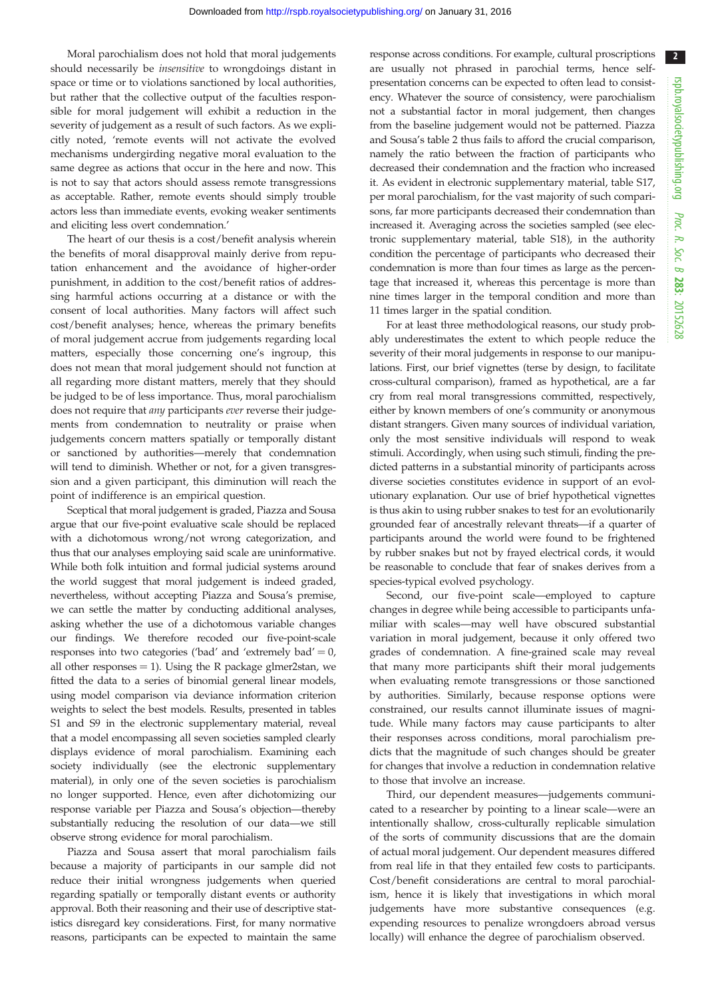2

Moral parochialism does not hold that moral judgements should necessarily be insensitive to wrongdoings distant in space or time or to violations sanctioned by local authorities, but rather that the collective output of the faculties responsible for moral judgement will exhibit a reduction in the severity of judgement as a result of such factors. As we explicitly noted, 'remote events will not activate the evolved mechanisms undergirding negative moral evaluation to the same degree as actions that occur in the here and now. This is not to say that actors should assess remote transgressions as acceptable. Rather, remote events should simply trouble actors less than immediate events, evoking weaker sentiments and eliciting less overt condemnation.'

The heart of our thesis is a cost/benefit analysis wherein the benefits of moral disapproval mainly derive from reputation enhancement and the avoidance of higher-order punishment, in addition to the cost/benefit ratios of addressing harmful actions occurring at a distance or with the consent of local authorities. Many factors will affect such cost/benefit analyses; hence, whereas the primary benefits of moral judgement accrue from judgements regarding local matters, especially those concerning one's ingroup, this does not mean that moral judgement should not function at all regarding more distant matters, merely that they should be judged to be of less importance. Thus, moral parochialism does not require that any participants ever reverse their judgements from condemnation to neutrality or praise when judgements concern matters spatially or temporally distant or sanctioned by authorities—merely that condemnation will tend to diminish. Whether or not, for a given transgression and a given participant, this diminution will reach the point of indifference is an empirical question.

Sceptical that moral judgement is graded, Piazza and Sousa argue that our five-point evaluative scale should be replaced with a dichotomous wrong/not wrong categorization, and thus that our analyses employing said scale are uninformative. While both folk intuition and formal judicial systems around the world suggest that moral judgement is indeed graded, nevertheless, without accepting Piazza and Sousa's premise, we can settle the matter by conducting additional analyses, asking whether the use of a dichotomous variable changes our findings. We therefore recoded our five-point-scale responses into two categories ('bad' and 'extremely bad'  $= 0$ , all other responses  $= 1$ ). Using the R package glmer2stan, we fitted the data to a series of binomial general linear models, using model comparison via deviance information criterion weights to select the best models. Results, presented in tables S1 and S9 in the electronic supplementary material, reveal that a model encompassing all seven societies sampled clearly displays evidence of moral parochialism. Examining each society individually (see the electronic supplementary material), in only one of the seven societies is parochialism no longer supported. Hence, even after dichotomizing our response variable per Piazza and Sousa's objection—thereby substantially reducing the resolution of our data—we still observe strong evidence for moral parochialism.

Piazza and Sousa assert that moral parochialism fails because a majority of participants in our sample did not reduce their initial wrongness judgements when queried regarding spatially or temporally distant events or authority approval. Both their reasoning and their use of descriptive statistics disregard key considerations. First, for many normative reasons, participants can be expected to maintain the same

response across conditions. For example, cultural proscriptions are usually not phrased in parochial terms, hence selfpresentation concerns can be expected to often lead to consistency. Whatever the source of consistency, were parochialism not a substantial factor in moral judgement, then changes from the baseline judgement would not be patterned. Piazza and Sousa's table 2 thus fails to afford the crucial comparison, namely the ratio between the fraction of participants who decreased their condemnation and the fraction who increased it. As evident in electronic supplementary material, table S17, per moral parochialism, for the vast majority of such comparisons, far more participants decreased their condemnation than increased it. Averaging across the societies sampled (see electronic supplementary material, table S18), in the authority condition the percentage of participants who decreased their condemnation is more than four times as large as the percentage that increased it, whereas this percentage is more than nine times larger in the temporal condition and more than 11 times larger in the spatial condition.

For at least three methodological reasons, our study probably underestimates the extent to which people reduce the severity of their moral judgements in response to our manipulations. First, our brief vignettes (terse by design, to facilitate cross-cultural comparison), framed as hypothetical, are a far cry from real moral transgressions committed, respectively, either by known members of one's community or anonymous distant strangers. Given many sources of individual variation, only the most sensitive individuals will respond to weak stimuli. Accordingly, when using such stimuli, finding the predicted patterns in a substantial minority of participants across diverse societies constitutes evidence in support of an evolutionary explanation. Our use of brief hypothetical vignettes is thus akin to using rubber snakes to test for an evolutionarily grounded fear of ancestrally relevant threats—if a quarter of participants around the world were found to be frightened by rubber snakes but not by frayed electrical cords, it would be reasonable to conclude that fear of snakes derives from a species-typical evolved psychology.

Second, our five-point scale—employed to capture changes in degree while being accessible to participants unfamiliar with scales—may well have obscured substantial variation in moral judgement, because it only offered two grades of condemnation. A fine-grained scale may reveal that many more participants shift their moral judgements when evaluating remote transgressions or those sanctioned by authorities. Similarly, because response options were constrained, our results cannot illuminate issues of magnitude. While many factors may cause participants to alter their responses across conditions, moral parochialism predicts that the magnitude of such changes should be greater for changes that involve a reduction in condemnation relative to those that involve an increase.

Third, our dependent measures—judgements communicated to a researcher by pointing to a linear scale—were an intentionally shallow, cross-culturally replicable simulation of the sorts of community discussions that are the domain of actual moral judgement. Our dependent measures differed from real life in that they entailed few costs to participants. Cost/benefit considerations are central to moral parochialism, hence it is likely that investigations in which moral judgements have more substantive consequences (e.g. expending resources to penalize wrongdoers abroad versus locally) will enhance the degree of parochialism observed.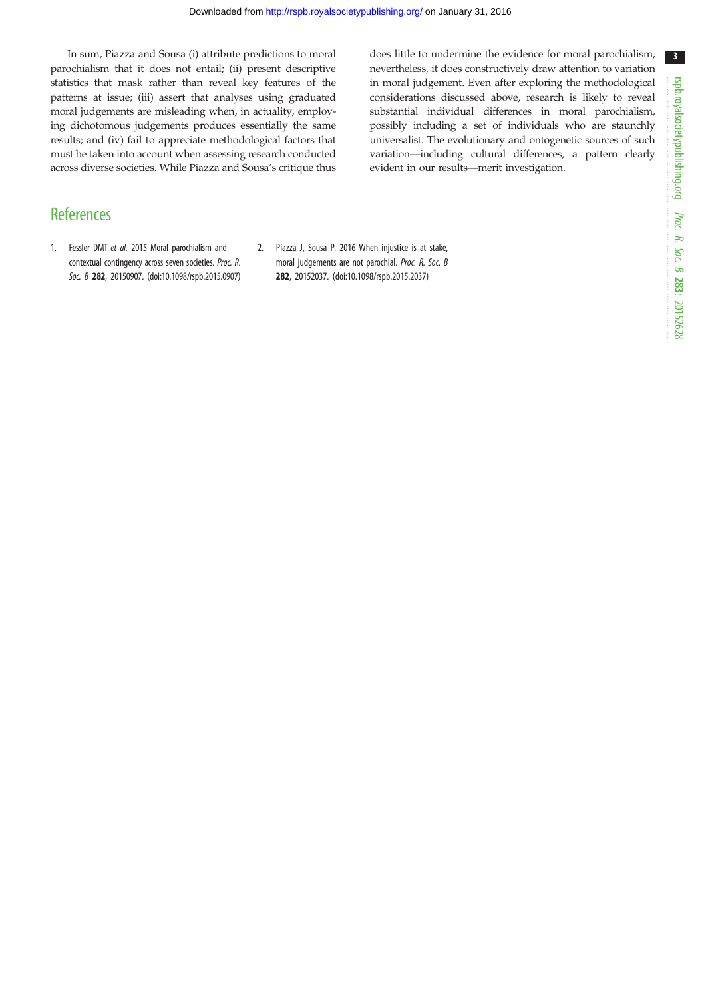<span id="page-2-0"></span>In sum, Piazza and Sousa (i) attribute predictions to moral parochialism that it does not entail; (ii) present descriptive statistics that mask rather than reveal key features of the patterns at issue; (iii) assert that analyses using graduated moral judgements are misleading when, in actuality, employing dichotomous judgements produces essentially the same results; and (iv) fail to appreciate methodological factors that must be taken into account when assessing research conducted across diverse societies. While Piazza and Sousa's critique thus does little to undermine the evidence for moral parochialism, nevertheless, it does constructively draw attention to variation in moral judgement. Even after exploring the methodological considerations discussed above, research is likely to reveal substantial individual differences in moral parochialism, possibly including a set of individuals who are staunchly universalist. The evolutionary and ontogenetic sources of such variation—including cultural differences, a pattern clearly evident in our results—merit investigation.

# **References**

- 1. Fessler DMT et al. 2015 Moral parochialism and contextual contingency across seven societies. Proc. R. Soc. B 282, 20150907. [\(doi:10.1098/rspb.2015.0907\)](http://dx.doi.org/10.1098/rspb.2015.0907)
- 2. Piazza J, Sousa P. 2016 When injustice is at stake, moral judgements are not parochial. Proc. R. Soc. B 282, 20152037. ([doi:10.1098/rspb.2015.2037](http://dx.doi.org/10.1098/rspb.2015.2037))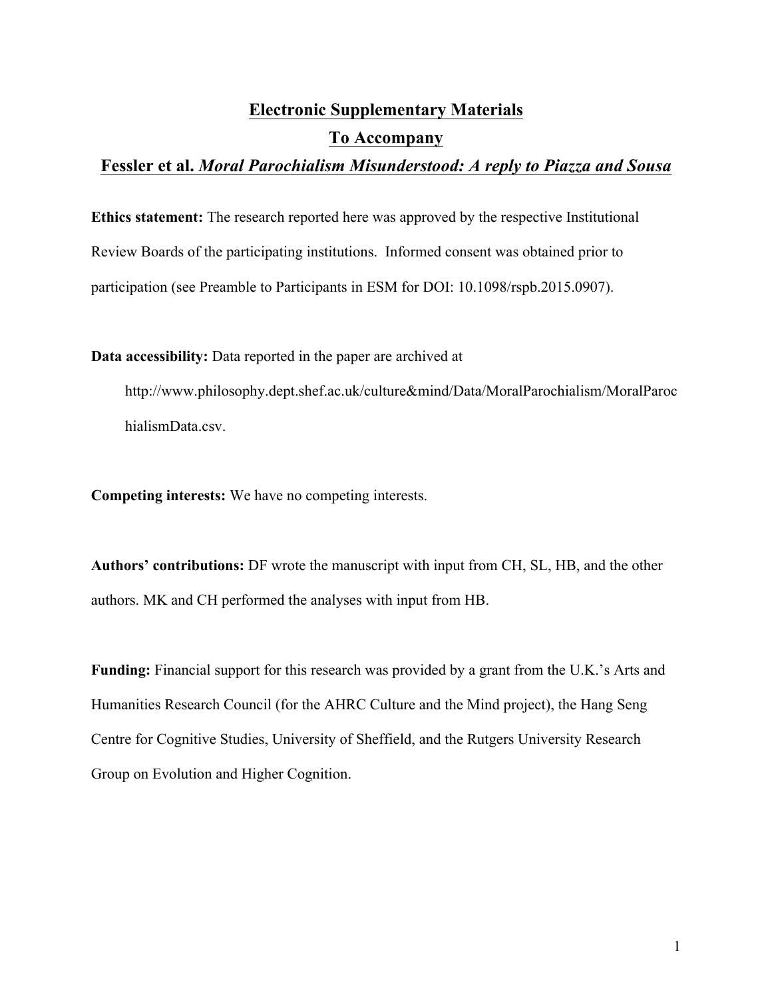# **Electronic Supplementary Materials To Accompany**

# **Fessler et al.** *Moral Parochialism Misunderstood: A reply to Piazza and Sousa*

**Ethics statement:** The research reported here was approved by the respective Institutional Review Boards of the participating institutions. Informed consent was obtained prior to participation (see Preamble to Participants in ESM for DOI: 10.1098/rspb.2015.0907).

**Data accessibility:** Data reported in the paper are archived at

http://www.philosophy.dept.shef.ac.uk/culture&mind/Data/MoralParochialism/MoralParoc hialismData.csv.

**Competing interests:** We have no competing interests.

**Authors' contributions:** DF wrote the manuscript with input from CH, SL, HB, and the other authors. MK and CH performed the analyses with input from HB.

**Funding:** Financial support for this research was provided by a grant from the U.K.'s Arts and Humanities Research Council (for the AHRC Culture and the Mind project), the Hang Seng Centre for Cognitive Studies, University of Sheffield, and the Rutgers University Research Group on Evolution and Higher Cognition.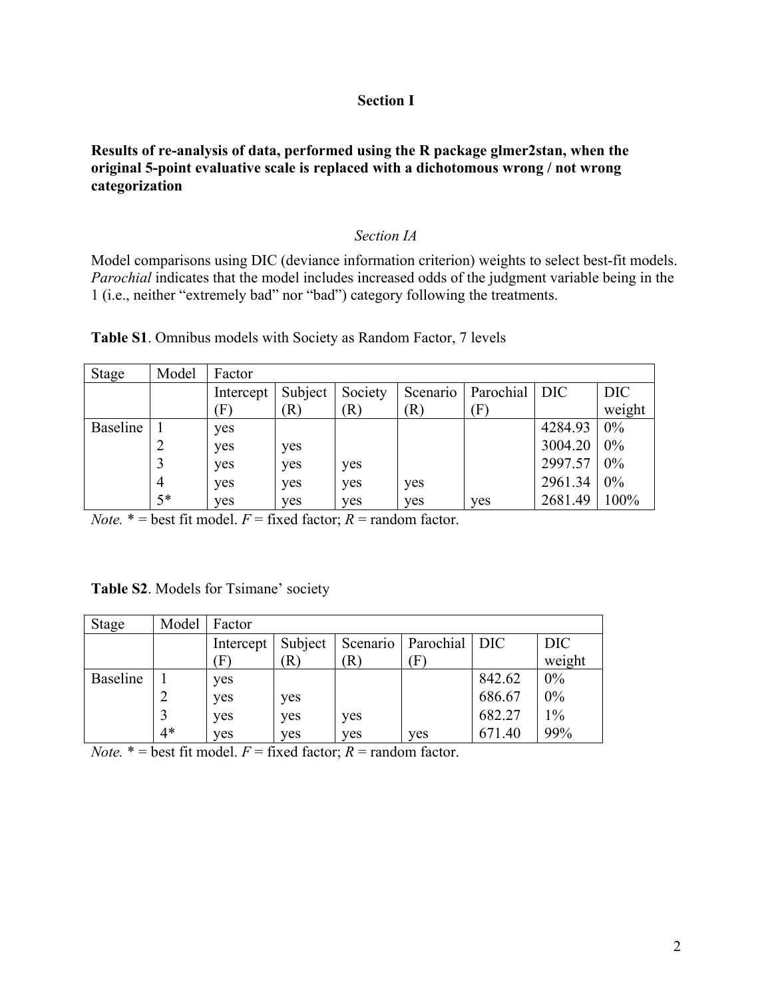#### **Section I**

#### **Results of re-analysis of data, performed using the R package glmer2stan, when the original 5-point evaluative scale is replaced with a dichotomous wrong / not wrong categorization**

#### *Section IA*

Model comparisons using DIC (deviance information criterion) weights to select best-fit models. *Parochial* indicates that the model includes increased odds of the judgment variable being in the 1 (i.e., neither "extremely bad" nor "bad") category following the treatments.

| Stage           | Model | Factor             |         |         |          |                            |         |        |
|-----------------|-------|--------------------|---------|---------|----------|----------------------------|---------|--------|
|                 |       | Intercept          | Subject | Society | Scenario | Parochial                  | DIC     | DIC    |
|                 |       | $\left(  F\right)$ | R)      | R)      | R)       | $\left( \mathrm{F}\right)$ |         | weight |
| <b>Baseline</b> |       | yes                |         |         |          |                            | 4284.93 | 0%     |
|                 |       | yes                | yes     |         |          |                            | 3004.20 | 0%     |
|                 |       | yes                | yes     | yes     |          |                            | 2997.57 | 0%     |
|                 | 4     | yes                | yes     | yes     | yes      |                            | 2961.34 | 0%     |
|                 | $5*$  | yes                | yes     | yes     | yes      | yes                        | 2681.49 | 100%   |

**Table S1**. Omnibus models with Society as Random Factor, 7 levels

*Note.*  $* =$  best fit model.  $F =$  fixed factor;  $R =$  random factor.

| Table S2. Models for Tsimane' society |  |
|---------------------------------------|--|
|---------------------------------------|--|

| Stage           | Model | Factor    |         |          |                               |        |        |
|-----------------|-------|-----------|---------|----------|-------------------------------|--------|--------|
|                 |       | Intercept | Subject | Scenario | Parochial DIC                 |        | DIC    |
|                 |       |           | R)      | R)       | $\left  \Gamma \right\rangle$ |        | weight |
| <b>Baseline</b> |       | yes       |         |          |                               | 842.62 | 0%     |
|                 |       | yes       | yes     |          |                               | 686.67 | $0\%$  |
|                 |       | ves       | yes     | yes      |                               | 682.27 | $1\%$  |
|                 | $4*$  | yes       | yes     | yes      | yes                           | 671.40 | 99%    |

*Note.*  $* =$  best fit model.  $F =$  fixed factor;  $R =$  random factor.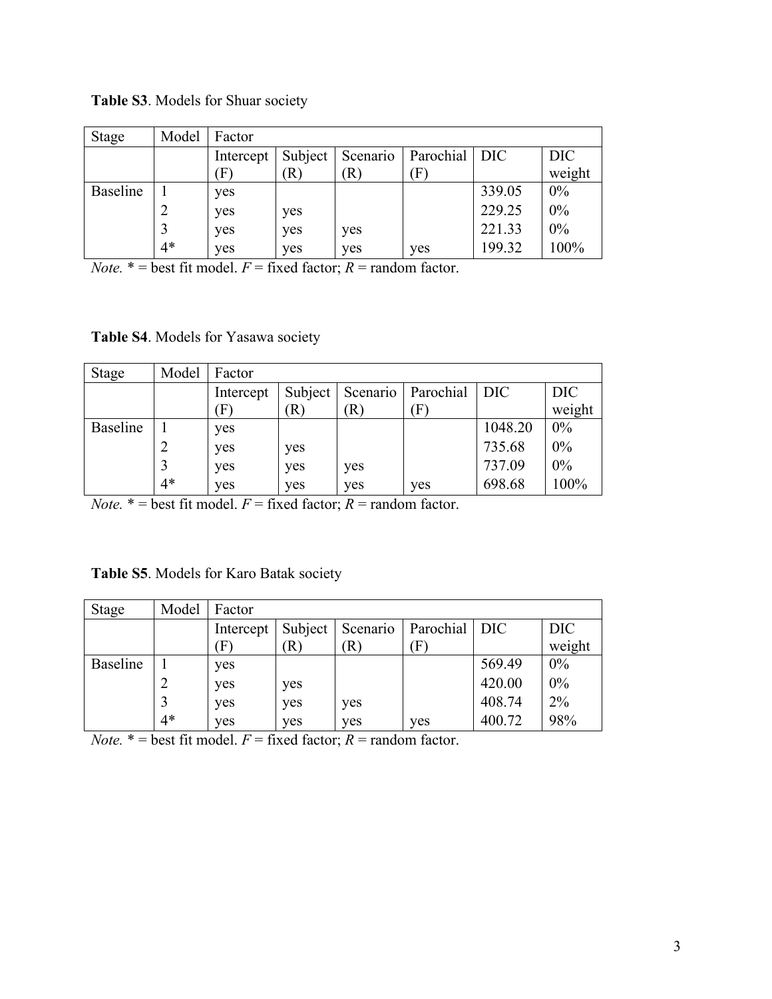**Table S3**. Models for Shuar society

| Stage           | Model | Factor                    |         |                            |           |        |            |
|-----------------|-------|---------------------------|---------|----------------------------|-----------|--------|------------|
|                 |       | Intercept                 | Subject | Scenario                   | Parochial | DIC    | <b>DIC</b> |
|                 |       | $\boldsymbol{\mathrm{F}}$ | R)      | $\left( \mathbf{R}\right)$ | (F        |        | weight     |
| <b>Baseline</b> |       | yes                       |         |                            |           | 339.05 | 0%         |
|                 |       | yes                       | yes     |                            |           | 229.25 | 0%         |
|                 |       | yes                       | yes     | yes                        |           | 221.33 | $0\%$      |
|                 | $4*$  | yes                       | yes     | yes                        | yes       | 199.32 | 100%       |

*Note.*  $* =$  best fit model.  $F =$  fixed factor;  $R =$  random factor.

**Table S4**. Models for Yasawa society

| <b>Stage</b> | Model | Factor                        |                            |          |              |                  |        |
|--------------|-------|-------------------------------|----------------------------|----------|--------------|------------------|--------|
|              |       | Intercept                     | Subject                    | Scenario | Parochial    | DIC <sup>1</sup> | DIC    |
|              |       | $\left  \Gamma \right\rangle$ | $\left[ \mathrm{R}\right]$ | R        | $\mathbf{F}$ |                  | weight |
| Baseline     |       | yes                           |                            |          |              | 1048.20          | 0%     |
|              |       | yes                           | yes                        |          |              | 735.68           | 0%     |
|              |       | yes                           | yes                        | yes      |              | 737.09           | 0%     |
|              | $4*$  | yes                           | yes                        | yes      | ves          | 698.68           | 100%   |

*Note.*  $* =$  best fit model.  $F =$  fixed factor;  $R =$  random factor.

| Table S5. Models for Karo Batak society |
|-----------------------------------------|
|-----------------------------------------|

| Stage           | Model | Factor    |         |                            |                           |        |            |
|-----------------|-------|-----------|---------|----------------------------|---------------------------|--------|------------|
|                 |       | Intercept | Subject | Scenario                   | Parochial   DIC           |        | <b>DIC</b> |
|                 |       | F         | R)      | $\left( \mathbf{R}\right)$ | $\boldsymbol{\mathrm{F}}$ |        | weight     |
| <b>Baseline</b> |       | yes       |         |                            |                           | 569.49 | $0\%$      |
|                 |       | yes       | yes     |                            |                           | 420.00 | 0%         |
|                 |       | yes       | yes     | yes                        |                           | 408.74 | 2%         |
|                 | $4*$  | yes       | yes     | ves                        | ves                       | 400.72 | 98%        |

*Note.*  $* =$  best fit model.  $F =$  fixed factor;  $R =$  random factor.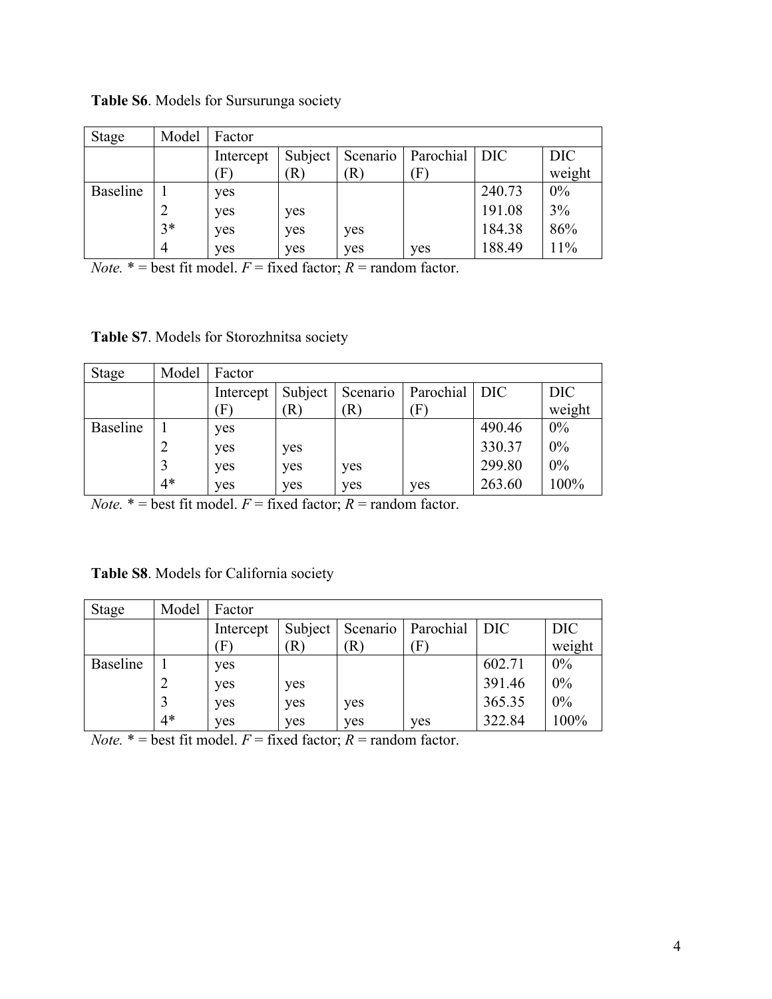| Stage           | Model          | Factor            |                            |          |               |        |            |
|-----------------|----------------|-------------------|----------------------------|----------|---------------|--------|------------|
|                 |                | Intercept         | Subject                    | Scenario | Parochial DIC |        | <b>DIC</b> |
|                 |                | $\vert F \rangle$ | $\left( \mathbf{R}\right)$ | R)       | $\mathbf{F}$  |        | weight     |
| <b>Baseline</b> |                | yes               |                            |          |               | 240.73 | $0\%$      |
|                 |                | yes               | yes                        |          |               | 191.08 | 3%         |
|                 | $3*$           | yes               | yes                        | yes      |               | 184.38 | 86%        |
|                 | $\overline{4}$ | yes               | yes                        | yes      | yes           | 188.49 | 11%        |

**Table S6**. Models for Sursurunga society

*Note.*  $* =$  best fit model.  $F =$  fixed factor;  $R =$  random factor.

**Table S7**. Models for Storozhnitsa society

| <b>Stage</b>    | Model | Factor                        |         |          |                 |        |            |
|-----------------|-------|-------------------------------|---------|----------|-----------------|--------|------------|
|                 |       | Intercept                     | Subject | Scenario | Parochial   DIC |        | <b>DIC</b> |
|                 |       | $\left  \Gamma \right\rangle$ | R)      | R)       | F               |        | weight     |
| <b>Baseline</b> |       | yes                           |         |          |                 | 490.46 | $0\%$      |
|                 |       | yes                           | yes     |          |                 | 330.37 | 0%         |
|                 |       | yes                           | yes     | yes      |                 | 299.80 | 0%         |
|                 | $4*$  | yes                           | ves     | yes      | yes             | 263.60 | 100%       |

*Note.*  $* =$  best fit model.  $F =$  fixed factor;  $R =$  random factor.

| Table S8. Models for California society |  |  |  |  |  |
|-----------------------------------------|--|--|--|--|--|
|-----------------------------------------|--|--|--|--|--|

| <b>Stage</b>    | Model | Factor                        |         |          |                 |        |            |
|-----------------|-------|-------------------------------|---------|----------|-----------------|--------|------------|
|                 |       | Intercept                     | Subject | Scenario | Parochial   DIC |        | <b>DIC</b> |
|                 |       | $\left  \Gamma \right\rangle$ | R)      | R)       | F               |        | weight     |
| <b>Baseline</b> |       | yes                           |         |          |                 | 602.71 | 0%         |
|                 |       | yes                           | yes     |          |                 | 391.46 | 0%         |
|                 |       | yes                           | yes     | yes      |                 | 365.35 | 0%         |
|                 | $4*$  | ves                           | yes     | yes      | ves             | 322.84 | 100%       |

*Note.*  $* =$  best fit model.  $F =$  fixed factor;  $R =$  random factor.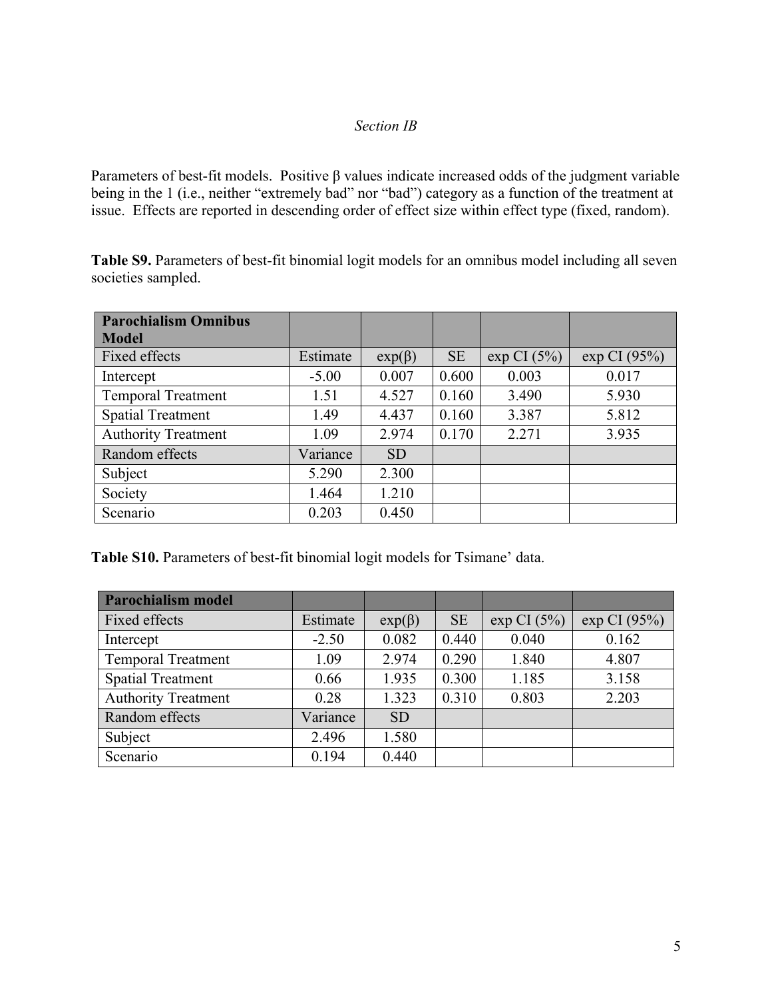### *Section IB*

Parameters of best-fit models. Positive β values indicate increased odds of the judgment variable being in the 1 (i.e., neither "extremely bad" nor "bad") category as a function of the treatment at issue. Effects are reported in descending order of effect size within effect type (fixed, random).

**Table S9.** Parameters of best-fit binomial logit models for an omnibus model including all seven societies sampled.

| <b>Parochialism Omnibus</b> |          |              |           |                |              |
|-----------------------------|----------|--------------|-----------|----------------|--------------|
| <b>Model</b>                |          |              |           |                |              |
| Fixed effects               | Estimate | $exp(\beta)$ | <b>SE</b> | $\exp$ CI (5%) | exp CI (95%) |
| Intercept                   | $-5.00$  | 0.007        | 0.600     | 0.003          | 0.017        |
| <b>Temporal Treatment</b>   | 1.51     | 4.527        | 0.160     | 3.490          | 5.930        |
| <b>Spatial Treatment</b>    | 1.49     | 4.437        | 0.160     | 3.387          | 5.812        |
| <b>Authority Treatment</b>  | 1.09     | 2.974        | 0.170     | 2.271          | 3.935        |
| Random effects              | Variance | <b>SD</b>    |           |                |              |
| Subject                     | 5.290    | 2.300        |           |                |              |
| Society                     | 1.464    | 1.210        |           |                |              |
| Scenario                    | 0.203    | 0.450        |           |                |              |

**Table S10.** Parameters of best-fit binomial logit models for Tsimane' data.

| <b>Parochialism model</b>  |          |              |           |                |              |
|----------------------------|----------|--------------|-----------|----------------|--------------|
| Fixed effects              | Estimate | $exp(\beta)$ | <b>SE</b> | $\exp$ CI (5%) | exp CI (95%) |
| Intercept                  | $-2.50$  | 0.082        | 0.440     | 0.040          | 0.162        |
| <b>Temporal Treatment</b>  | 1.09     | 2.974        | 0.290     | 1.840          | 4.807        |
| <b>Spatial Treatment</b>   | 0.66     | 1.935        | 0.300     | 1.185          | 3.158        |
| <b>Authority Treatment</b> | 0.28     | 1.323        | 0.310     | 0.803          | 2.203        |
| Random effects             | Variance | <b>SD</b>    |           |                |              |
| Subject                    | 2.496    | 1.580        |           |                |              |
| Scenario                   | 0.194    | 0.440        |           |                |              |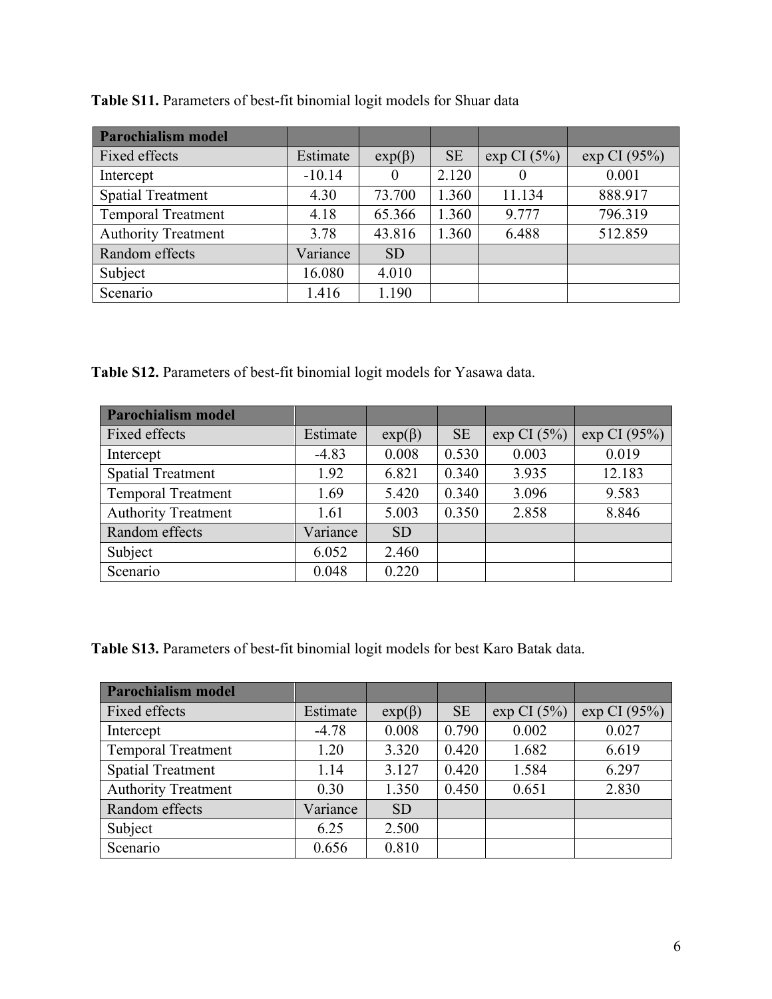| <b>Parochialism model</b>  |          |              |           |                |              |
|----------------------------|----------|--------------|-----------|----------------|--------------|
| Fixed effects              | Estimate | $exp(\beta)$ | <b>SE</b> | $\exp$ CI (5%) | exp CI (95%) |
| Intercept                  | $-10.14$ | 0            | 2.120     |                | 0.001        |
| <b>Spatial Treatment</b>   | 4.30     | 73.700       | 1.360     | 11.134         | 888.917      |
| <b>Temporal Treatment</b>  | 4.18     | 65.366       | 1.360     | 9.777          | 796.319      |
| <b>Authority Treatment</b> | 3.78     | 43.816       | 1.360     | 6.488          | 512.859      |
| Random effects             | Variance | <b>SD</b>    |           |                |              |
| Subject                    | 16.080   | 4.010        |           |                |              |
| Scenario                   | 1.416    | 1.190        |           |                |              |

**Table S11.** Parameters of best-fit binomial logit models for Shuar data

**Table S12.** Parameters of best-fit binomial logit models for Yasawa data.

| <b>Parochialism model</b>  |          |              |           |                |              |
|----------------------------|----------|--------------|-----------|----------------|--------------|
| Fixed effects              | Estimate | $exp(\beta)$ | <b>SE</b> | $\exp$ CI (5%) | exp CI (95%) |
| Intercept                  | $-4.83$  | 0.008        | 0.530     | 0.003          | 0.019        |
| <b>Spatial Treatment</b>   | 1.92     | 6.821        | 0.340     | 3.935          | 12.183       |
| <b>Temporal Treatment</b>  | 1.69     | 5.420        | 0.340     | 3.096          | 9.583        |
| <b>Authority Treatment</b> | 1.61     | 5.003        | 0.350     | 2.858          | 8.846        |
| Random effects             | Variance | <b>SD</b>    |           |                |              |
| Subject                    | 6.052    | 2.460        |           |                |              |
| Scenario                   | 0.048    | 0.220        |           |                |              |

**Table S13.** Parameters of best-fit binomial logit models for best Karo Batak data.

| <b>Parochialism model</b>  |          |              |           |                |             |
|----------------------------|----------|--------------|-----------|----------------|-------------|
| Fixed effects              | Estimate | $exp(\beta)$ | <b>SE</b> | $\exp$ CI (5%) | exp CI(95%) |
| Intercept                  | $-4.78$  | 0.008        | 0.790     | 0.002          | 0.027       |
| <b>Temporal Treatment</b>  | 1.20     | 3.320        | 0.420     | 1.682          | 6.619       |
| <b>Spatial Treatment</b>   | 1.14     | 3.127        | 0.420     | 1.584          | 6.297       |
| <b>Authority Treatment</b> | 0.30     | 1.350        | 0.450     | 0.651          | 2.830       |
| Random effects             | Variance | <b>SD</b>    |           |                |             |
| Subject                    | 6.25     | 2.500        |           |                |             |
| Scenario                   | 0.656    | 0.810        |           |                |             |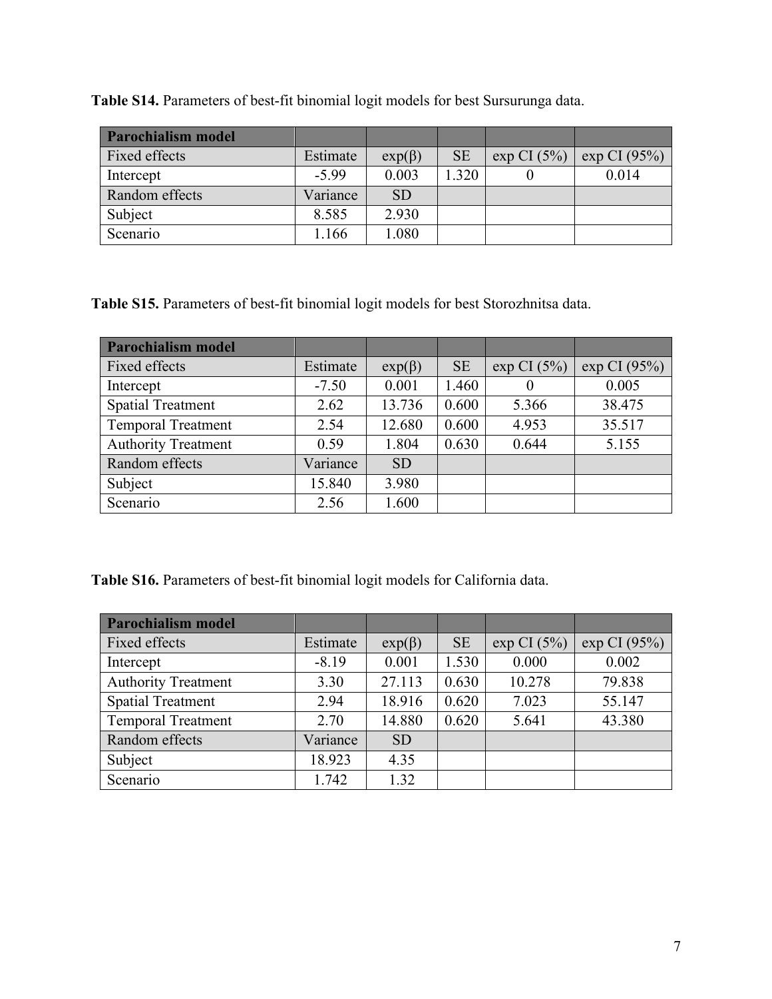**Table S14.** Parameters of best-fit binomial logit models for best Sursurunga data.

| <b>Parochialism model</b> |          |              |           |                |                 |
|---------------------------|----------|--------------|-----------|----------------|-----------------|
| Fixed effects             | Estimate | $exp(\beta)$ | <b>SE</b> | $\exp$ CI (5%) | $\exp$ CI (95%) |
| Intercept                 | $-5.99$  | 0.003        | 1.320     |                | 0.014           |
| Random effects            | Variance | <b>SD</b>    |           |                |                 |
| Subject                   | 8.585    | 2.930        |           |                |                 |
| Scenario                  | .166     | 1.080        |           |                |                 |

**Table S15.** Parameters of best-fit binomial logit models for best Storozhnitsa data.

| <b>Parochialism model</b>  |          |              |           |                |              |
|----------------------------|----------|--------------|-----------|----------------|--------------|
| Fixed effects              | Estimate | $exp(\beta)$ | <b>SE</b> | $\exp$ CI (5%) | exp CI (95%) |
| Intercept                  | $-7.50$  | 0.001        | 1.460     | $\theta$       | 0.005        |
| <b>Spatial Treatment</b>   | 2.62     | 13.736       | 0.600     | 5.366          | 38.475       |
| <b>Temporal Treatment</b>  | 2.54     | 12.680       | 0.600     | 4.953          | 35.517       |
| <b>Authority Treatment</b> | 0.59     | 1.804        | 0.630     | 0.644          | 5.155        |
| Random effects             | Variance | <b>SD</b>    |           |                |              |
| Subject                    | 15.840   | 3.980        |           |                |              |
| Scenario                   | 2.56     | 1.600        |           |                |              |

**Table S16.** Parameters of best-fit binomial logit models for California data.

| <b>Parochialism model</b>  |          |              |           |                |              |
|----------------------------|----------|--------------|-----------|----------------|--------------|
| Fixed effects              | Estimate | $exp(\beta)$ | <b>SE</b> | $\exp$ CI (5%) | exp CI (95%) |
| Intercept                  | $-8.19$  | 0.001        | 1.530     | 0.000          | 0.002        |
| <b>Authority Treatment</b> | 3.30     | 27.113       | 0.630     | 10.278         | 79.838       |
| <b>Spatial Treatment</b>   | 2.94     | 18.916       | 0.620     | 7.023          | 55.147       |
| <b>Temporal Treatment</b>  | 2.70     | 14.880       | 0.620     | 5.641          | 43.380       |
| Random effects             | Variance | <b>SD</b>    |           |                |              |
| Subject                    | 18.923   | 4.35         |           |                |              |
| Scenario                   | 1.742    | 1.32         |           |                |              |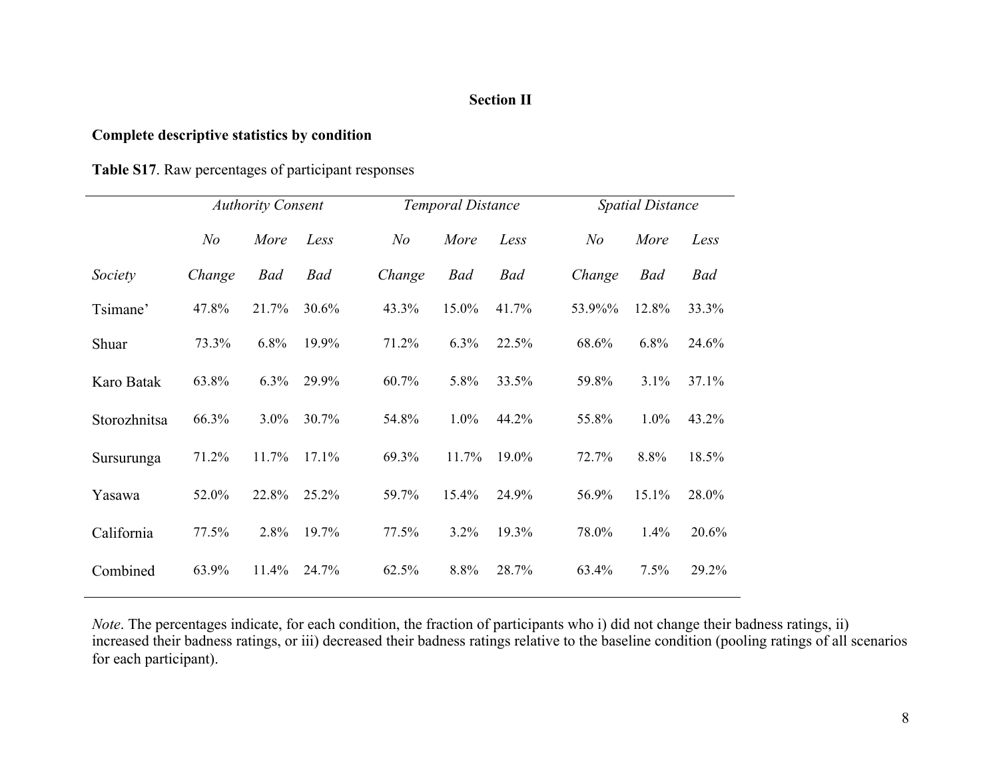# **Section II**

# **Complete descriptive statistics by condition**

|              |                | <b>Authority Consent</b> |            |        | <b>Temporal Distance</b> |            |        | <b>Spatial Distance</b> |       |
|--------------|----------------|--------------------------|------------|--------|--------------------------|------------|--------|-------------------------|-------|
|              | N <sub>o</sub> | More                     | Less       | N o    | More                     | Less       | N o    | More                    | Less  |
| Society      | Change         | <b>Bad</b>               | <b>Bad</b> | Change | <b>Bad</b>               | <b>Bad</b> | Change | Bad                     | Bad   |
| Tsimane'     | 47.8%          | 21.7%                    | 30.6%      | 43.3%  | 15.0%                    | 41.7%      | 53.9%% | 12.8%                   | 33.3% |
| Shuar        | 73.3%          | 6.8%                     | 19.9%      | 71.2%  | 6.3%                     | 22.5%      | 68.6%  | 6.8%                    | 24.6% |
| Karo Batak   | 63.8%          | 6.3%                     | 29.9%      | 60.7%  | 5.8%                     | 33.5%      | 59.8%  | 3.1%                    | 37.1% |
| Storozhnitsa | 66.3%          | $3.0\%$                  | 30.7%      | 54.8%  | $1.0\%$                  | 44.2%      | 55.8%  | $1.0\%$                 | 43.2% |
| Sursurunga   | 71.2%          | 11.7%                    | 17.1%      | 69.3%  | 11.7%                    | 19.0%      | 72.7%  | 8.8%                    | 18.5% |
| Yasawa       | 52.0%          | 22.8%                    | 25.2%      | 59.7%  | $15.4\%$                 | 24.9%      | 56.9%  | 15.1%                   | 28.0% |
| California   | 77.5%          | 2.8%                     | 19.7%      | 77.5%  | $3.2\%$                  | 19.3%      | 78.0%  | $1.4\%$                 | 20.6% |
| Combined     | 63.9%          | 11.4%                    | 24.7%      | 62.5%  | 8.8%                     | 28.7%      | 63.4%  | 7.5%                    | 29.2% |

*Note*. The percentages indicate, for each condition, the fraction of participants who i) did not change their badness ratings, ii) increased their badness ratings, or iii) decreased their badness ratings relative to the baseline condition (pooling ratings of all scenarios for each participant).